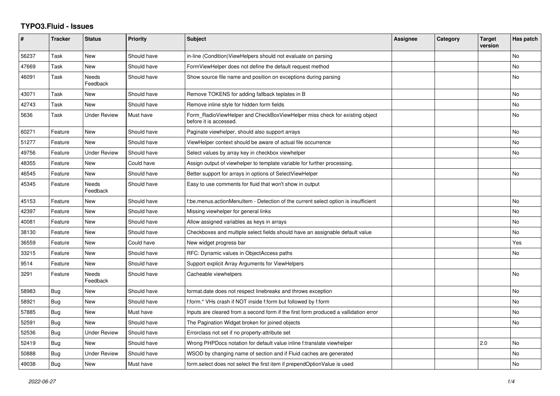## **TYPO3.Fluid - Issues**

| #     | <b>Tracker</b> | <b>Status</b>       | <b>Priority</b> | <b>Subject</b>                                                                                       | Assignee | Category | <b>Target</b><br>version | Has patch |
|-------|----------------|---------------------|-----------------|------------------------------------------------------------------------------------------------------|----------|----------|--------------------------|-----------|
| 56237 | Task           | New                 | Should have     | in-line (Condition)ViewHelpers should not evaluate on parsing                                        |          |          |                          | No        |
| 47669 | Task           | New                 | Should have     | FormViewHelper does not define the default request method                                            |          |          |                          | <b>No</b> |
| 46091 | Task           | Needs<br>Feedback   | Should have     | Show source file name and position on exceptions during parsing                                      |          |          |                          | No        |
| 43071 | Task           | New                 | Should have     | Remove TOKENS for adding fallback teplates in B                                                      |          |          |                          | <b>No</b> |
| 42743 | Task           | New                 | Should have     | Remove inline style for hidden form fields                                                           |          |          |                          | <b>No</b> |
| 5636  | Task           | <b>Under Review</b> | Must have       | Form RadioViewHelper and CheckBoxViewHelper miss check for existing object<br>before it is accessed. |          |          |                          | No        |
| 60271 | Feature        | New                 | Should have     | Paginate viewhelper, should also support arrays                                                      |          |          |                          | No        |
| 51277 | Feature        | New                 | Should have     | ViewHelper context should be aware of actual file occurrence                                         |          |          |                          | No        |
| 49756 | Feature        | <b>Under Review</b> | Should have     | Select values by array key in checkbox viewhelper                                                    |          |          |                          | <b>No</b> |
| 48355 | Feature        | New                 | Could have      | Assign output of viewhelper to template variable for further processing.                             |          |          |                          |           |
| 46545 | Feature        | New                 | Should have     | Better support for arrays in options of SelectViewHelper                                             |          |          |                          | No        |
| 45345 | Feature        | Needs<br>Feedback   | Should have     | Easy to use comments for fluid that won't show in output                                             |          |          |                          |           |
| 45153 | Feature        | New                 | Should have     | f:be.menus.actionMenuItem - Detection of the current select option is insufficient                   |          |          |                          | No        |
| 42397 | Feature        | New                 | Should have     | Missing viewhelper for general links                                                                 |          |          |                          | No        |
| 40081 | Feature        | <b>New</b>          | Should have     | Allow assigned variables as keys in arrays                                                           |          |          |                          | <b>No</b> |
| 38130 | Feature        | New                 | Should have     | Checkboxes and multiple select fields should have an assignable default value                        |          |          |                          | No        |
| 36559 | Feature        | <b>New</b>          | Could have      | New widget progress bar                                                                              |          |          |                          | Yes       |
| 33215 | Feature        | New                 | Should have     | RFC: Dynamic values in ObjectAccess paths                                                            |          |          |                          | No        |
| 9514  | Feature        | New                 | Should have     | Support explicit Array Arguments for ViewHelpers                                                     |          |          |                          |           |
| 3291  | Feature        | Needs<br>Feedback   | Should have     | Cacheable viewhelpers                                                                                |          |          |                          | No        |
| 58983 | Bug            | New                 | Should have     | format.date does not respect linebreaks and throws exception                                         |          |          |                          | <b>No</b> |
| 58921 | Bug            | New                 | Should have     | f:form.* VHs crash if NOT inside f:form but followed by f:form                                       |          |          |                          | No        |
| 57885 | <b>Bug</b>     | New                 | Must have       | Inputs are cleared from a second form if the first form produced a vallidation error                 |          |          |                          | No        |
| 52591 | Bug            | <b>New</b>          | Should have     | The Pagination Widget broken for joined objects                                                      |          |          |                          | <b>No</b> |
| 52536 | Bug            | Under Review        | Should have     | Errorclass not set if no property-attribute set                                                      |          |          |                          |           |
| 52419 | Bug            | New                 | Should have     | Wrong PHPDocs notation for default value inline f:translate viewhelper                               |          |          | 2.0                      | No        |
| 50888 | Bug            | Under Review        | Should have     | WSOD by changing name of section and if Fluid caches are generated                                   |          |          |                          | No        |
| 49038 | Bug            | New                 | Must have       | form select does not select the first item if prependOptionValue is used                             |          |          |                          | No        |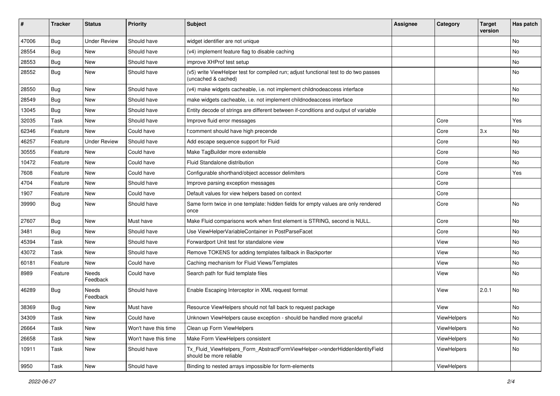| $\sharp$ | <b>Tracker</b> | <b>Status</b>       | <b>Priority</b>      | Subject                                                                                                     | <b>Assignee</b> | Category    | <b>Target</b><br>version | Has patch |
|----------|----------------|---------------------|----------------------|-------------------------------------------------------------------------------------------------------------|-----------------|-------------|--------------------------|-----------|
| 47006    | Bug            | <b>Under Review</b> | Should have          | widget identifier are not unique                                                                            |                 |             |                          | <b>No</b> |
| 28554    | <b>Bug</b>     | New                 | Should have          | (v4) implement feature flag to disable caching                                                              |                 |             |                          | No        |
| 28553    | Bug            | New                 | Should have          | improve XHProf test setup                                                                                   |                 |             |                          | No        |
| 28552    | Bug            | New                 | Should have          | (v5) write ViewHelper test for compiled run; adjust functional test to do two passes<br>(uncached & cached) |                 |             |                          | No        |
| 28550    | Bug            | New                 | Should have          | (v4) make widgets cacheable, i.e. not implement childnodeaccess interface                                   |                 |             |                          | No        |
| 28549    | Bug            | New                 | Should have          | make widgets cacheable, i.e. not implement childnodeaccess interface                                        |                 |             |                          | No        |
| 13045    | Bug            | New                 | Should have          | Entity decode of strings are different between if-conditions and output of variable                         |                 |             |                          |           |
| 32035    | Task           | New                 | Should have          | Improve fluid error messages                                                                                |                 | Core        |                          | Yes       |
| 62346    | Feature        | New                 | Could have           | f:comment should have high precende                                                                         |                 | Core        | 3.x                      | No        |
| 46257    | Feature        | <b>Under Review</b> | Should have          | Add escape sequence support for Fluid                                                                       |                 | Core        |                          | <b>No</b> |
| 30555    | Feature        | New                 | Could have           | Make TagBuilder more extensible                                                                             |                 | Core        |                          | No        |
| 10472    | Feature        | New                 | Could have           | Fluid Standalone distribution                                                                               |                 | Core        |                          | No        |
| 7608     | Feature        | New                 | Could have           | Configurable shorthand/object accessor delimiters                                                           |                 | Core        |                          | Yes       |
| 4704     | Feature        | New                 | Should have          | Improve parsing exception messages                                                                          |                 | Core        |                          |           |
| 1907     | Feature        | New                 | Could have           | Default values for view helpers based on context                                                            |                 | Core        |                          |           |
| 39990    | Bug            | New                 | Should have          | Same form twice in one template: hidden fields for empty values are only rendered<br>once                   |                 | Core        |                          | No        |
| 27607    | Bug            | <b>New</b>          | Must have            | Make Fluid comparisons work when first element is STRING, second is NULL.                                   |                 | Core        |                          | <b>No</b> |
| 3481     | Bug            | New                 | Should have          | Use ViewHelperVariableContainer in PostParseFacet                                                           |                 | Core        |                          | No        |
| 45394    | Task           | New                 | Should have          | Forwardport Unit test for standalone view                                                                   |                 | View        |                          | No        |
| 43072    | Task           | New                 | Should have          | Remove TOKENS for adding templates fallback in Backporter                                                   |                 | View        |                          | No        |
| 60181    | Feature        | New                 | Could have           | Caching mechanism for Fluid Views/Templates                                                                 |                 | View        |                          | No        |
| 8989     | Feature        | Needs<br>Feedback   | Could have           | Search path for fluid template files                                                                        |                 | View        |                          | No        |
| 46289    | Bug            | Needs<br>Feedback   | Should have          | Enable Escaping Interceptor in XML request format                                                           |                 | View        | 2.0.1                    | <b>No</b> |
| 38369    | Bug            | New                 | Must have            | Resource ViewHelpers should not fall back to request package                                                |                 | View        |                          | No        |
| 34309    | Task           | New                 | Could have           | Unknown ViewHelpers cause exception - should be handled more graceful                                       |                 | ViewHelpers |                          | No        |
| 26664    | Task           | New                 | Won't have this time | Clean up Form ViewHelpers                                                                                   |                 | ViewHelpers |                          | No        |
| 26658    | Task           | New                 | Won't have this time | Make Form ViewHelpers consistent                                                                            |                 | ViewHelpers |                          | No        |
| 10911    | Task           | New                 | Should have          | Tx_Fluid_ViewHelpers_Form_AbstractFormViewHelper->renderHiddenIdentityField<br>should be more reliable      |                 | ViewHelpers |                          | No        |
| 9950     | Task           | New                 | Should have          | Binding to nested arrays impossible for form-elements                                                       |                 | ViewHelpers |                          |           |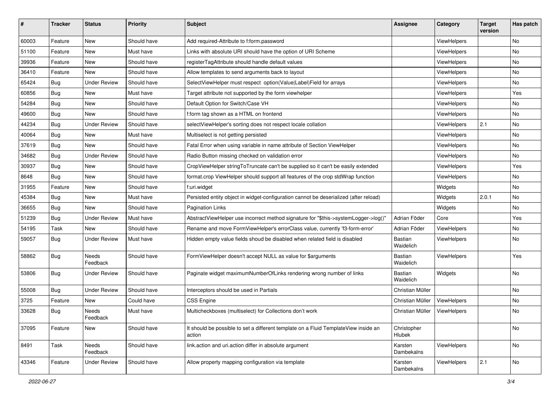| #     | <b>Tracker</b> | <b>Status</b>            | <b>Priority</b> | <b>Subject</b>                                                                                | <b>Assignee</b>             | Category           | <b>Target</b><br>version | Has patch |
|-------|----------------|--------------------------|-----------------|-----------------------------------------------------------------------------------------------|-----------------------------|--------------------|--------------------------|-----------|
| 60003 | Feature        | New                      | Should have     | Add required-Attribute to f:form.password                                                     |                             | ViewHelpers        |                          | <b>No</b> |
| 51100 | Feature        | New                      | Must have       | Links with absolute URI should have the option of URI Scheme                                  |                             | ViewHelpers        |                          | No        |
| 39936 | Feature        | New                      | Should have     | registerTagAttribute should handle default values                                             |                             | ViewHelpers        |                          | No        |
| 36410 | Feature        | New                      | Should have     | Allow templates to send arguments back to layout                                              |                             | ViewHelpers        |                          | No        |
| 65424 | Bug            | <b>Under Review</b>      | Should have     | SelectViewHelper must respect option(Value Label)Field for arrays                             |                             | ViewHelpers        |                          | No        |
| 60856 | Bug            | New                      | Must have       | Target attribute not supported by the form viewhelper                                         |                             | ViewHelpers        |                          | Yes       |
| 54284 | Bug            | New                      | Should have     | Default Option for Switch/Case VH                                                             |                             | ViewHelpers        |                          | No        |
| 49600 | Bug            | New                      | Should have     | f:form tag shown as a HTML on frontend                                                        |                             | ViewHelpers        |                          | No        |
| 44234 | Bug            | <b>Under Review</b>      | Should have     | selectViewHelper's sorting does not respect locale collation                                  |                             | ViewHelpers        | 2.1                      | No        |
| 40064 | Bug            | New                      | Must have       | Multiselect is not getting persisted                                                          |                             | <b>ViewHelpers</b> |                          | No        |
| 37619 | Bug            | New                      | Should have     | Fatal Error when using variable in name attribute of Section ViewHelper                       |                             | ViewHelpers        |                          | No        |
| 34682 | Bug            | <b>Under Review</b>      | Should have     | Radio Button missing checked on validation error                                              |                             | ViewHelpers        |                          | No        |
| 30937 | Bug            | New                      | Should have     | CropViewHelper stringToTruncate can't be supplied so it can't be easily extended              |                             | ViewHelpers        |                          | Yes       |
| 8648  | Bug            | New                      | Should have     | format.crop ViewHelper should support all features of the crop stdWrap function               |                             | ViewHelpers        |                          | No        |
| 31955 | Feature        | New                      | Should have     | f:uri.widget                                                                                  |                             | Widgets            |                          | No        |
| 45384 | Bug            | New                      | Must have       | Persisted entity object in widget-configuration cannot be deserialized (after reload)         |                             | Widgets            | 2.0.1                    | No        |
| 36655 | Bug            | New                      | Should have     | <b>Pagination Links</b>                                                                       |                             | Widgets            |                          | No        |
| 51239 | Bug            | <b>Under Review</b>      | Must have       | AbstractViewHelper use incorrect method signature for "\$this->systemLogger->log()"           | Adrian Föder                | Core               |                          | Yes       |
| 54195 | Task           | New                      | Should have     | Rename and move FormViewHelper's errorClass value, currently 'f3-form-error'                  | Adrian Föder                | ViewHelpers        |                          | No        |
| 59057 | Bug            | <b>Under Review</b>      | Must have       | Hidden empty value fields shoud be disabled when related field is disabled                    | <b>Bastian</b><br>Waidelich | ViewHelpers        |                          | No        |
| 58862 | <b>Bug</b>     | <b>Needs</b><br>Feedback | Should have     | FormViewHelper doesn't accept NULL as value for \$arguments                                   | <b>Bastian</b><br>Waidelich | ViewHelpers        |                          | Yes       |
| 53806 | Bug            | Under Review             | Should have     | Paginate widget maximumNumberOfLinks rendering wrong number of links                          | <b>Bastian</b><br>Waidelich | Widgets            |                          | No        |
| 55008 | Bug            | <b>Under Review</b>      | Should have     | Interceptors should be used in Partials                                                       | Christian Müller            |                    |                          | No        |
| 3725  | Feature        | New                      | Could have      | <b>CSS Engine</b>                                                                             | Christian Müller            | ViewHelpers        |                          | <b>No</b> |
| 33628 | Bug            | Needs<br>Feedback        | Must have       | Multicheckboxes (multiselect) for Collections don't work                                      | Christian Müller            | ViewHelpers        |                          | No        |
| 37095 | Feature        | New                      | Should have     | It should be possible to set a different template on a Fluid TemplateView inside an<br>action | Christopher<br>Hlubek       |                    |                          | No        |
| 8491  | Task           | Needs<br>Feedback        | Should have     | link.action and uri.action differ in absolute argument                                        | Karsten<br>Dambekalns       | ViewHelpers        |                          | No        |
| 43346 | Feature        | <b>Under Review</b>      | Should have     | Allow property mapping configuration via template                                             | Karsten<br>Dambekalns       | ViewHelpers        | 2.1                      | No        |